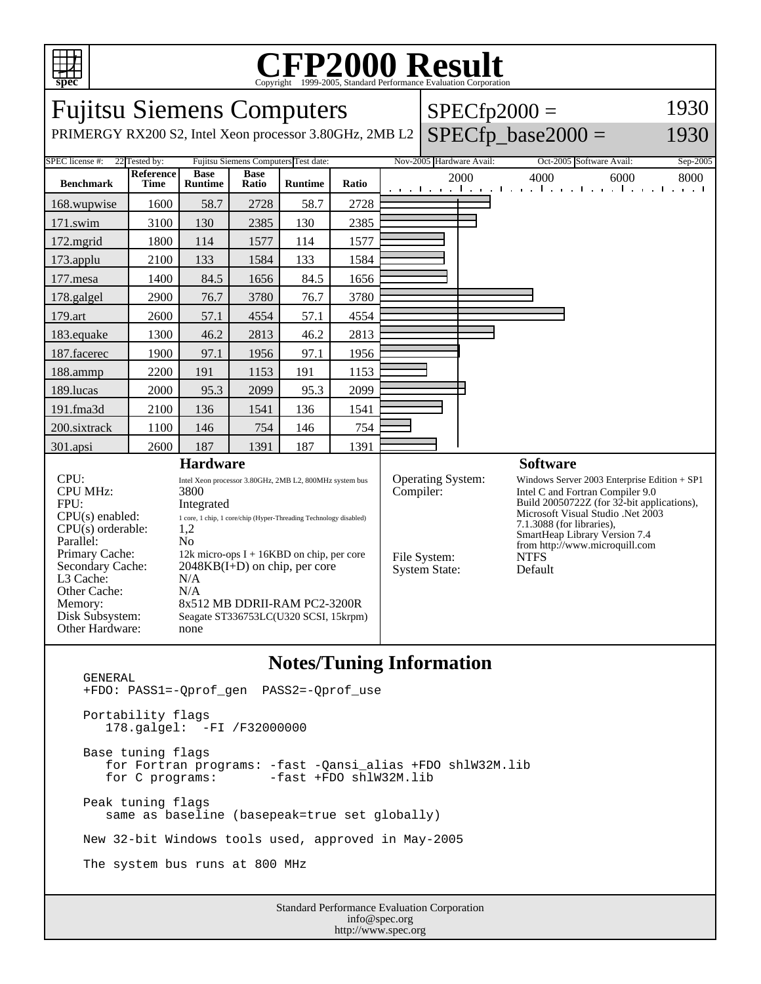

## C<sub>opyright</sub> ©1999-2005, Standard Performance Evaluation Corporation

Fujitsu Siemens Computers PRIMERGY RX200 S2, Intel Xeon processor 3.80GHz, 2MB L2  $SPECfp2000 =$  $SPECfp\_base2000 =$ 1930 1930 SPEC license #: 22 Tested by: Fujitsu Siemens Computers Test date: Nov-2005 Hardware Avail: Oct-2005 Software Avail: Sep-2005 **Benchmark Reference Time Base Runtime Base Ratio Runtime Ratio** 2000 4000 6000 8000 168.wupwise 1600 58.7 2728 58.7 2728 171.swim | 3100 | 130 | 2385 | 130 | 2385 172.mgrid | 1800 | 114 | 1577 | 114 | 1577 173.applu | 2100 | 133 | 1584 | 133 | 1584 177. mesa | 1400 | 84.5 | 1656 | 84.5 | 1656 178.galgel | 2900 | 76.7 | 3780 | 76.7 | 3780 179.art | 2600 | 57.1 | 4554 | 57.1 | 4554 183.equake 1300 46.2 2813 46.2 2813 187.facerec | 1900 | 97.1 | 1956 | 97.1 | 1956 188.ammp | 2200 | 191 | 1153 | 191 | 1153 189.lucas | 2000 | 95.3 | 2099 | 95.3 | 2099 191.fma3d 2100 136 1541 136 1541 200.sixtrack 1100 146 754 146 754 301.apsi 2600 187 1391 187 1391 **Hardware** CPU: Intel Xeon processor 3.80GHz, 2MB L2, 800MHz system bus CPU MHz: 3800 FPU: Integrated  $CPU(s) enable: 1 core, 1 chip, 1 core/chip (Hyper-Threading Technology disabled)   
CPU(s) orderable: 1.2$  $CPU(s)$  orderable: Parallel: No<br>Primary Cache: 12k  $12k$  micro-ops I + 16KBD on chip, per core Secondary Cache: 2048KB(I+D) on chip, per core L3 Cache: N/A Other Cache: N/A Memory: 8x512 MB DDRII-RAM PC2-3200R Disk Subsystem: Seagate ST336753LC(U320 SCSI, 15krpm) Other Hardware: none **Software** Operating System: Windows Server 2003 Enterprise Edition + SP1<br>
Compiler: Intel C and Fortran Compiler 9.0 Intel C and Fortran Compiler 9.0 Build 20050722Z (for 32-bit applications), Microsoft Visual Studio .Net 2003 7.1.3088 (for libraries), SmartHeap Library Version 7.4 from http://www.microquill.com File System: NTFS<br>System State: Default System State:

## **Notes/Tuning Information**

 GENERAL +FDO: PASS1=-Qprof\_gen PASS2=-Qprof\_use Portability flags 178.galgel: -FI /F32000000 Base tuning flags for Fortran programs: -fast -Qansi\_alias +FDO shlW32M.lib -fast +FDO shlW32M.lib Peak tuning flags same as baseline (basepeak=true set globally) New 32-bit Windows tools used, approved in May-2005 The system bus runs at 800 MHz

Standard Performance Evaluation Corporation info@spec.org http://www.spec.org